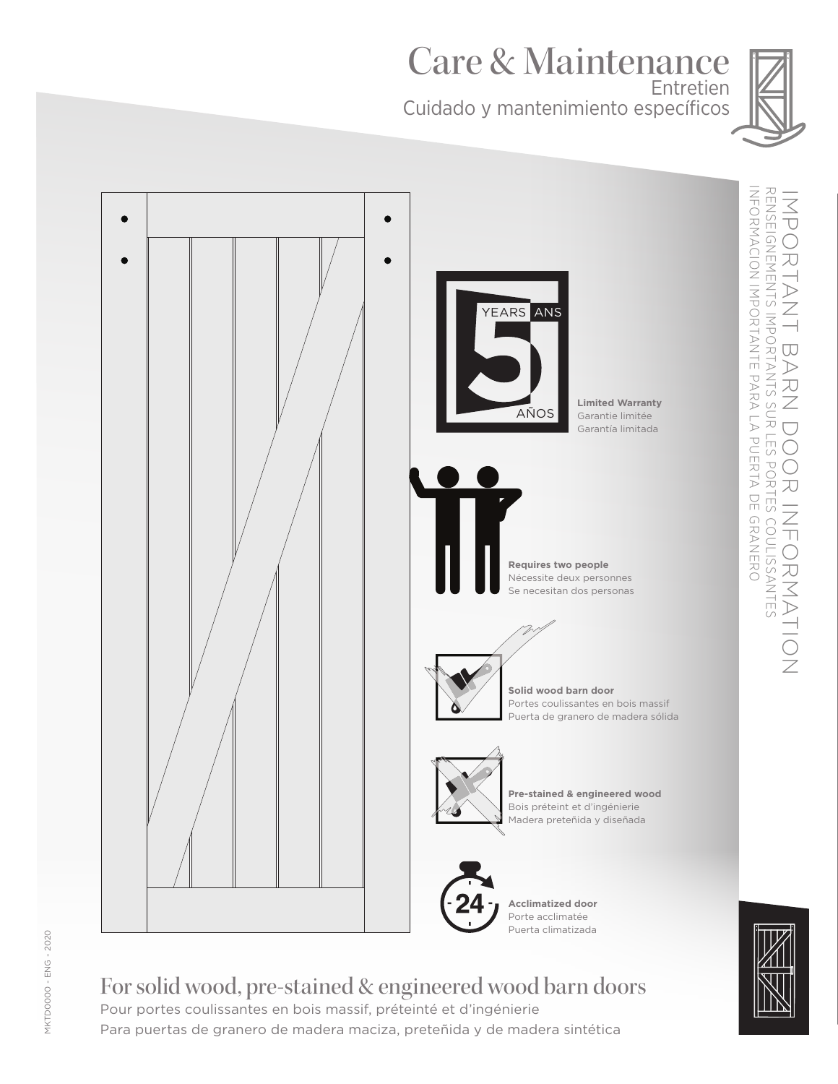Care & Maintenance Entretien

Cuidado y mantenimiento específicos



 $\overline{\cup}$ 





# For solid wood, pre-stained & engineered wood barn doors Pour portes coulissantes en bois massif, préteinté et d'ingénierie

Para puertas de granero de madera maciza, preteñida y de madera sintética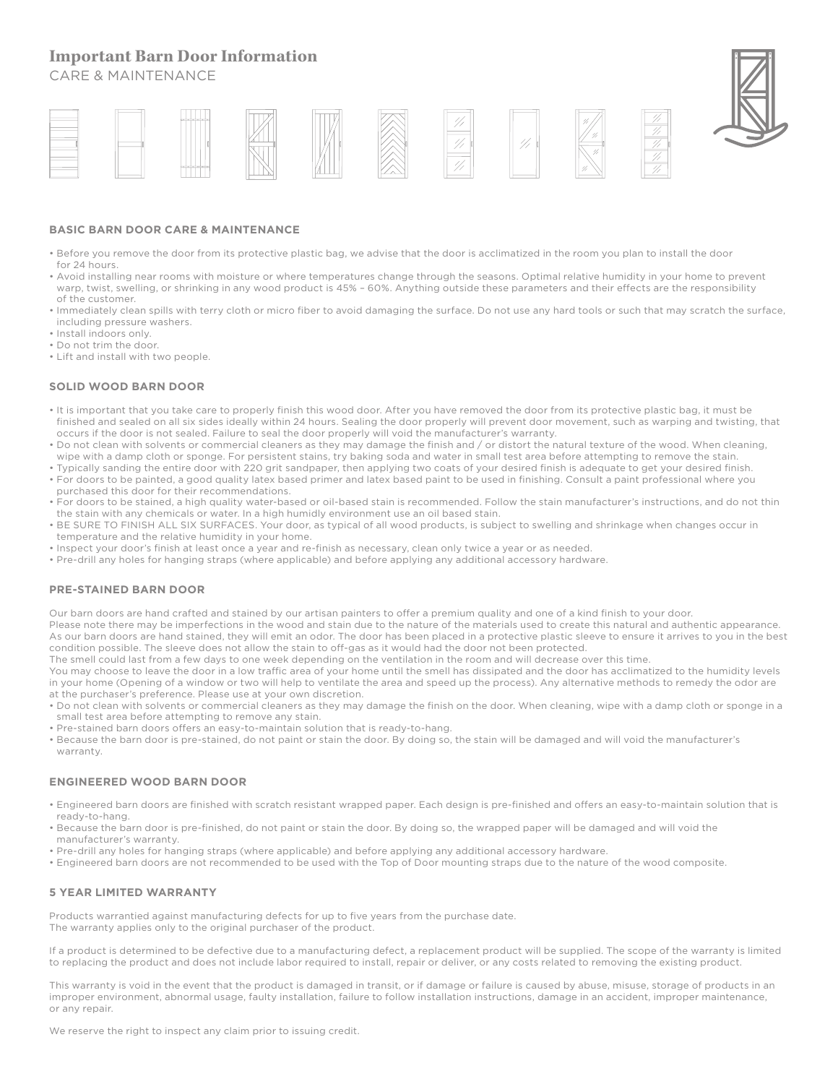## **Important Barn Door Information**

CARE & MAINTENANCE



#### **BASIC BARN DOOR CARE & MAINTENANCE**

- Before you remove the door from its protective plastic bag, we advise that the door is acclimatized in the room you plan to install the door for 24 hours.
- Avoid installing near rooms with moisture or where temperatures change through the seasons. Optimal relative humidity in your home to prevent warp, twist, swelling, or shrinking in any wood product is 45% – 60%. Anything outside these parameters and their effects are the responsibility of the customer.
- Immediately clean spills with terry cloth or micro fiber to avoid damaging the surface. Do not use any hard tools or such that may scratch the surface, including pressure washers.
- Install indoors only.
- Do not trim the door.
- Lift and install with two people.

#### **SOLID WOOD BARN DOOR**

- It is important that you take care to properly finish this wood door. After you have removed the door from its protective plastic bag, it must be finished and sealed on all six sides ideally within 24 hours. Sealing the door properly will prevent door movement, such as warping and twisting, that occurs if the door is not sealed. Failure to seal the door properly will void the manufacturer's warranty.
- Do not clean with solvents or commercial cleaners as they may damage the finish and / or distort the natural texture of the wood. When cleaning, wipe with a damp cloth or sponge. For persistent stains, try baking soda and water in small test area before attempting to remove the stain.
- Typically sanding the entire door with 220 grit sandpaper, then applying two coats of your desired finish is adequate to get your desired finish.
- For doors to be painted, a good quality latex based primer and latex based paint to be used in finishing. Consult a paint professional where you purchased this door for their recommendations.
- For doors to be stained, a high quality water-based or oil-based stain is recommended. Follow the stain manufacturer's instructions, and do not thin the stain with any chemicals or water. In a high humidly environment use an oil based stain.
- BE SURE TO FINISH ALL SIX SURFACES. Your door, as typical of all wood products, is subject to swelling and shrinkage when changes occur in temperature and the relative humidity in your home.
- Inspect your door's finish at least once a year and re-finish as necessary, clean only twice a year or as needed.
- Pre-drill any holes for hanging straps (where applicable) and before applying any additional accessory hardware.

#### **PRE-STAINED BARN DOOR**

Our barn doors are hand crafted and stained by our artisan painters to offer a premium quality and one of a kind finish to your door.

Please note there may be imperfections in the wood and stain due to the nature of the materials used to create this natural and authentic appearance. As our barn doors are hand stained, they will emit an odor. The door has been placed in a protective plastic sleeve to ensure it arrives to you in the best condition possible. The sleeve does not allow the stain to off-gas as it would had the door not been protected.

The smell could last from a few days to one week depending on the ventilation in the room and will decrease over this time.

You may choose to leave the door in a low traffic area of your home until the smell has dissipated and the door has acclimatized to the humidity levels in your home (Opening of a window or two will help to ventilate the area and speed up the process). Any alternative methods to remedy the odor are at the purchaser's preference. Please use at your own discretion.

- Do not clean with solvents or commercial cleaners as they may damage the finish on the door. When cleaning, wipe with a damp cloth or sponge in a small test area before attempting to remove any stain.
- Pre-stained barn doors offers an easy-to-maintain solution that is ready-to-hang.
- Because the barn door is pre-stained, do not paint or stain the door. By doing so, the stain will be damaged and will void the manufacturer's warranty.

#### **ENGINEERED WOOD BARN DOOR**

- Engineered barn doors are finished with scratch resistant wrapped paper. Each design is pre-finished and offers an easy-to-maintain solution that is ready-to-hang.
- Because the barn door is pre-finished, do not paint or stain the door. By doing so, the wrapped paper will be damaged and will void the manufacturer's warranty.
- Pre-drill any holes for hanging straps (where applicable) and before applying any additional accessory hardware.
- Engineered barn doors are not recommended to be used with the Top of Door mounting straps due to the nature of the wood composite.

#### **5 YEAR LIMITED WARRANTY**

Products warrantied against manufacturing defects for up to five years from the purchase date. The warranty applies only to the original purchaser of the product.

If a product is determined to be defective due to a manufacturing defect, a replacement product will be supplied. The scope of the warranty is limited to replacing the product and does not include labor required to install, repair or deliver, or any costs related to removing the existing product.

This warranty is void in the event that the product is damaged in transit, or if damage or failure is caused by abuse, misuse, storage of products in an improper environment, abnormal usage, faulty installation, failure to follow installation instructions, damage in an accident, improper maintenance, or any repair.

We reserve the right to inspect any claim prior to issuing credit.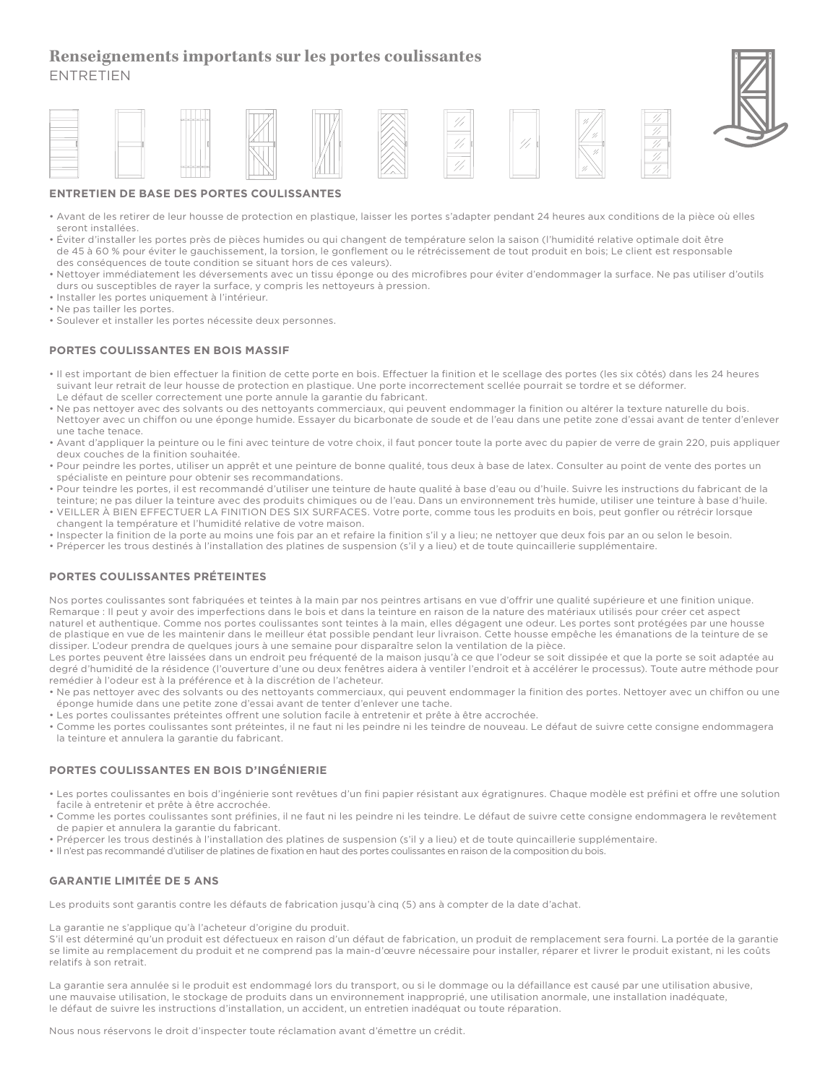## **Renseignements importants sur les portes coulissantes**  ENTRETIEN



### **ENTRETIEN DE BASE DES PORTES COULISSANTES**

- Avant de les retirer de leur housse de protection en plastique, laisser les portes s'adapter pendant 24 heures aux conditions de la pièce où elles seront installées.
- Éviter d'installer les portes près de pièces humides ou qui changent de température selon la saison (l'humidité relative optimale doit être de 45 à 60 % pour éviter le gauchissement, la torsion, le gonflement ou le rétrécissement de tout produit en bois; Le client est responsable des conséquences de toute condition se situant hors de ces valeurs).
- Nettoyer immédiatement les déversements avec un tissu éponge ou des microfibres pour éviter d'endommager la surface. Ne pas utiliser d'outils durs ou susceptibles de rayer la surface, y compris les nettoyeurs à pression.
- Installer les portes uniquement à l'intérieur.
- Ne pas tailler les portes.
- Soulever et installer les portes nécessite deux personnes.

### **PORTES COULISSANTES EN BOIS MASSIF**

- Il est important de bien effectuer la finition de cette porte en bois. Effectuer la finition et le scellage des portes (les six côtés) dans les 24 heures suivant leur retrait de leur housse de protection en plastique. Une porte incorrectement scellée pourrait se tordre et se déformer. Le défaut de sceller correctement une porte annule la garantie du fabricant.
- Ne pas nettoyer avec des solvants ou des nettoyants commerciaux, qui peuvent endommager la finition ou altérer la texture naturelle du bois. Nettoyer avec un chiffon ou une éponge humide. Essayer du bicarbonate de soude et de l'eau dans une petite zone d'essai avant de tenter d'enlever une tache tenace.
- Avant d'appliquer la peinture ou le fini avec teinture de votre choix, il faut poncer toute la porte avec du papier de verre de grain 220, puis appliquer deux couches de la finition souhaitée.
- Pour peindre les portes, utiliser un apprêt et une peinture de bonne qualité, tous deux à base de latex. Consulter au point de vente des portes un spécialiste en peinture pour obtenir ses recommandations.
- Pour teindre les portes, il est recommandé d'utiliser une teinture de haute qualité à base d'eau ou d'huile. Suivre les instructions du fabricant de la teinture; ne pas diluer la teinture avec des produits chimiques ou de l'eau. Dans un environnement très humide, utiliser une teinture à base d'huile. • VEILLER À BIEN EFFECTUER LA FINITION DES SIX SURFACES. Votre porte, comme tous les produits en bois, peut gonfler ou rétrécir lorsque
- changent la température et l'humidité relative de votre maison. • Inspecter la finition de la porte au moins une fois par an et refaire la finition s'il y a lieu; ne nettoyer que deux fois par an ou selon le besoin.
- Prépercer les trous destinés à l'installation des platines de suspension (s'il y a lieu) et de toute quincaillerie supplémentaire.

#### **PORTES COULISSANTES PRÉTEINTES**

Nos portes coulissantes sont fabriquées et teintes à la main par nos peintres artisans en vue d'offrir une qualité supérieure et une finition unique. Remarque : Il peut y avoir des imperfections dans le bois et dans la teinture en raison de la nature des matériaux utilisés pour créer cet aspect naturel et authentique. Comme nos portes coulissantes sont teintes à la main, elles dégagent une odeur. Les portes sont protégées par une housse de plastique en vue de les maintenir dans le meilleur état possible pendant leur livraison. Cette housse empêche les émanations de la teinture de se dissiper. L'odeur prendra de quelques jours à une semaine pour disparaître selon la ventilation de la pièce.

Les portes peuvent être laissées dans un endroit peu fréquenté de la maison jusqu'à ce que l'odeur se soit dissipée et que la porte se soit adaptée au degré d'humidité de la résidence (l'ouverture d'une ou deux fenêtres aidera à ventiler l'endroit et à accélérer le processus). Toute autre méthode pour remédier à l'odeur est à la préférence et à la discrétion de l'acheteur.

- Ne pas nettoyer avec des solvants ou des nettoyants commerciaux, qui peuvent endommager la finition des portes. Nettoyer avec un chiffon ou une éponge humide dans une petite zone d'essai avant de tenter d'enlever une tache.
- Les portes coulissantes préteintes offrent une solution facile à entretenir et prête à être accrochée.
- Comme les portes coulissantes sont préteintes, il ne faut ni les peindre ni les teindre de nouveau. Le défaut de suivre cette consigne endommagera la teinture et annulera la garantie du fabricant.

#### **PORTES COULISSANTES EN BOIS D'INGÉNIERIE**

- Les portes coulissantes en bois d'ingénierie sont revêtues d'un fini papier résistant aux égratignures. Chaque modèle est préfini et offre une solution facile à entretenir et prête à être accrochée.
- Comme les portes coulissantes sont préfinies, il ne faut ni les peindre ni les teindre. Le défaut de suivre cette consigne endommagera le revêtement de papier et annulera la garantie du fabricant.
- Prépercer les trous destinés à l'installation des platines de suspension (s'il y a lieu) et de toute quincaillerie supplémentaire.
- Il n'est pas recommandé d'utiliser de platines de fixation en haut des portes coulissantes en raison de la composition du bois.

#### **GARANTIE LIMITÉE DE 5 ANS**

Les produits sont garantis contre les défauts de fabrication jusqu'à cinq (5) ans à compter de la date d'achat.

#### La garantie ne s'applique qu'à l'acheteur d'origine du produit.

S'il est déterminé qu'un produit est défectueux en raison d'un défaut de fabrication, un produit de remplacement sera fourni. La portée de la garantie se limite au remplacement du produit et ne comprend pas la main-d'œuvre nécessaire pour installer, réparer et livrer le produit existant, ni les coûts relatifs à son retrait.

La garantie sera annulée si le produit est endommagé lors du transport, ou si le dommage ou la défaillance est causé par une utilisation abusive, une mauvaise utilisation, le stockage de produits dans un environnement inapproprié, une utilisation anormale, une installation inadéquate, le défaut de suivre les instructions d'installation, un accident, un entretien inadéquat ou toute réparation.

Nous nous réservons le droit d'inspecter toute réclamation avant d'émettre un crédit.